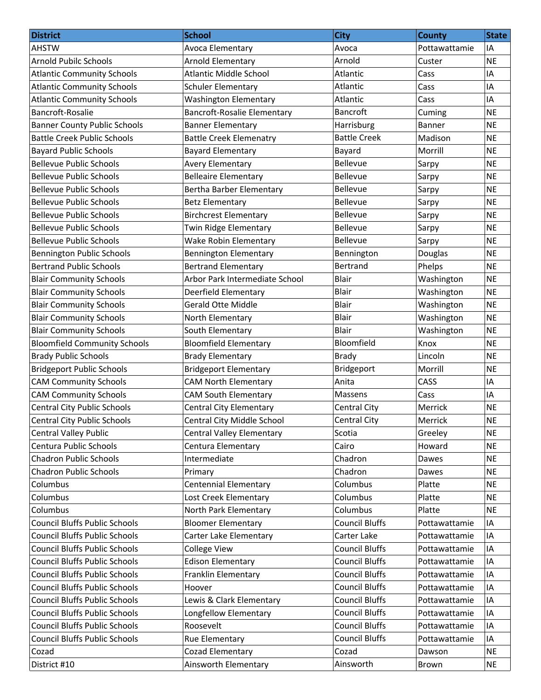| <b>District</b>                      | School                             | <b>City</b>           | <b>County</b> | <b>State</b> |
|--------------------------------------|------------------------------------|-----------------------|---------------|--------------|
| <b>AHSTW</b>                         | Avoca Elementary                   | Avoca                 | Pottawattamie | IA           |
| <b>Arnold Pubilc Schools</b>         | Arnold Elementary                  | Arnold                | Custer        | <b>NE</b>    |
| <b>Atlantic Community Schools</b>    | <b>Atlantic Middle School</b>      | Atlantic              | Cass          | IA           |
| <b>Atlantic Community Schools</b>    | <b>Schuler Elementary</b>          | Atlantic              | Cass          | IA           |
| <b>Atlantic Community Schools</b>    | <b>Washington Elementary</b>       | Atlantic              | Cass          | IA           |
| Bancroft-Rosalie                     | <b>Bancroft-Rosalie Elementary</b> | <b>Bancroft</b>       | Cuming        | <b>NE</b>    |
| <b>Banner County Public Schools</b>  | <b>Banner Elementary</b>           | Harrisburg            | Banner        | <b>NE</b>    |
| <b>Battle Creek Public Schools</b>   | <b>Battle Creek Elemenatry</b>     | <b>Battle Creek</b>   | Madison       | <b>NE</b>    |
| <b>Bayard Public Schools</b>         | <b>Bayard Elementary</b>           | Bayard                | Morrill       | <b>NE</b>    |
| <b>Bellevue Public Schools</b>       | Avery Elementary                   | <b>Bellevue</b>       | Sarpy         | <b>NE</b>    |
| <b>Bellevue Public Schools</b>       | <b>Belleaire Elementary</b>        | Bellevue              | Sarpy         | <b>NE</b>    |
| <b>Bellevue Public Schools</b>       | Bertha Barber Elementary           | <b>Bellevue</b>       | Sarpy         | <b>NE</b>    |
| <b>Bellevue Public Schools</b>       | <b>Betz Elementary</b>             | Bellevue              | Sarpy         | <b>NE</b>    |
| <b>Bellevue Public Schools</b>       | <b>Birchcrest Elementary</b>       | Bellevue              | Sarpy         | <b>NE</b>    |
| <b>Bellevue Public Schools</b>       | Twin Ridge Elementary              | Bellevue              | Sarpy         | <b>NE</b>    |
| <b>Bellevue Public Schools</b>       | Wake Robin Elementary              | Bellevue              | Sarpy         | <b>NE</b>    |
| <b>Bennington Public Schools</b>     | <b>Bennington Elementary</b>       | Bennington            | Douglas       | <b>NE</b>    |
| <b>Bertrand Public Schools</b>       | <b>Bertrand Elementary</b>         | Bertrand              | Phelps        | <b>NE</b>    |
| <b>Blair Community Schools</b>       | Arbor Park Intermediate School     | <b>Blair</b>          | Washington    | <b>NE</b>    |
| <b>Blair Community Schools</b>       | Deerfield Elementary               | Blair                 | Washington    | <b>NE</b>    |
| <b>Blair Community Schools</b>       | <b>Gerald Otte Middle</b>          | Blair                 | Washington    | <b>NE</b>    |
| <b>Blair Community Schools</b>       | North Elementary                   | Blair                 | Washington    | <b>NE</b>    |
| <b>Blair Community Schools</b>       | South Elementary                   | Blair                 | Washington    | <b>NE</b>    |
| <b>Bloomfield Community Schools</b>  | <b>Bloomfield Elementary</b>       | Bloomfield            | Knox          | <b>NE</b>    |
| <b>Brady Public Schools</b>          | <b>Brady Elementary</b>            | <b>Brady</b>          | Lincoln       | <b>NE</b>    |
| <b>Bridgeport Public Schools</b>     | <b>Bridgeport Elementary</b>       | Bridgeport            | Morrill       | <b>NE</b>    |
| <b>CAM Community Schools</b>         | <b>CAM North Elementary</b>        | Anita                 | CASS          | IA           |
| <b>CAM Community Schools</b>         | <b>CAM South Elementary</b>        | Massens               | Cass          | IA           |
| <b>Central City Public Schools</b>   | <b>Central City Elementary</b>     | Central City          | Merrick       | <b>NE</b>    |
| <b>Central City Public Schools</b>   | <b>Central City Middle School</b>  | <b>Central City</b>   | Merrick       | <b>NE</b>    |
| <b>Central Valley Public</b>         | <b>Central Valley Elementary</b>   | Scotia                | Greeley       | <b>NE</b>    |
| Centura Public Schools               | Centura Elementary                 | Cairo                 | Howard        | <b>NE</b>    |
| <b>Chadron Public Schools</b>        | Intermediate                       | Chadron               | Dawes         | <b>NE</b>    |
| <b>Chadron Public Schools</b>        | Primary                            | Chadron               | Dawes         | <b>NE</b>    |
| Columbus                             | <b>Centennial Elementary</b>       | Columbus              | Platte        | <b>NE</b>    |
| Columbus                             | Lost Creek Elementary              | Columbus              | Platte        | <b>NE</b>    |
| Columbus                             | North Park Elementary              | Columbus              | Platte        | <b>NE</b>    |
| <b>Council Bluffs Public Schools</b> | <b>Bloomer Elementary</b>          | <b>Council Bluffs</b> | Pottawattamie | ΙA           |
| <b>Council Bluffs Public Schools</b> | Carter Lake Elementary             | Carter Lake           | Pottawattamie | IA           |
| <b>Council Bluffs Public Schools</b> | <b>College View</b>                | <b>Council Bluffs</b> | Pottawattamie | IA           |
| <b>Council Bluffs Public Schools</b> | <b>Edison Elementary</b>           | <b>Council Bluffs</b> | Pottawattamie | IA           |
| <b>Council Bluffs Public Schools</b> | Franklin Elementary                | <b>Council Bluffs</b> | Pottawattamie | ΙA           |
| <b>Council Bluffs Public Schools</b> | Hoover                             | <b>Council Bluffs</b> | Pottawattamie | IA           |
| <b>Council Bluffs Public Schools</b> | Lewis & Clark Elementary           | <b>Council Bluffs</b> | Pottawattamie | IA           |
| <b>Council Bluffs Public Schools</b> | Longfellow Elementary              | <b>Council Bluffs</b> | Pottawattamie | ΙA           |
| <b>Council Bluffs Public Schools</b> | Roosevelt                          | <b>Council Bluffs</b> | Pottawattamie | IA           |
| <b>Council Bluffs Public Schools</b> | Rue Elementary                     | <b>Council Bluffs</b> | Pottawattamie | ΙA           |
| Cozad                                | Cozad Elementary                   | Cozad                 | Dawson        | <b>NE</b>    |
| District #10                         | Ainsworth Elementary               | Ainsworth             | Brown         | <b>NE</b>    |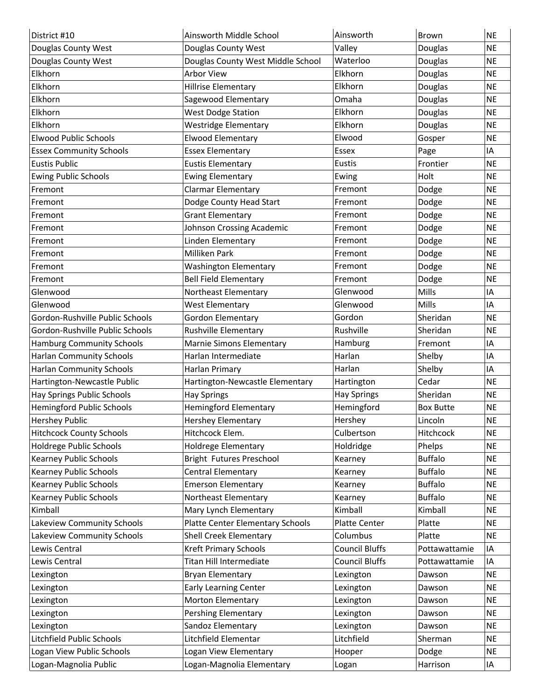| District #10                     | Ainsworth Middle School           | Ainsworth             | Brown            | <b>NE</b> |
|----------------------------------|-----------------------------------|-----------------------|------------------|-----------|
| Douglas County West              | Douglas County West               | Valley                | Douglas          | <b>NE</b> |
| Douglas County West              | Douglas County West Middle School | Waterloo              | Douglas          | <b>NE</b> |
| Elkhorn                          | <b>Arbor View</b>                 | Elkhorn               | Douglas          | <b>NE</b> |
| Elkhorn                          | <b>Hillrise Elementary</b>        | Elkhorn               | Douglas          | <b>NE</b> |
| Elkhorn                          | Sagewood Elementary               | Omaha                 | Douglas          | <b>NE</b> |
| Elkhorn                          | <b>West Dodge Station</b>         | Elkhorn               | Douglas          | <b>NE</b> |
| Elkhorn                          | <b>Westridge Elementary</b>       | Elkhorn               | Douglas          | <b>NE</b> |
| <b>Elwood Public Schools</b>     | <b>Elwood Elementary</b>          | Elwood                | Gosper           | <b>NE</b> |
| <b>Essex Community Schools</b>   | <b>Essex Elementary</b>           | Essex                 | Page             | IA        |
| <b>Eustis Public</b>             | <b>Eustis Elementary</b>          | Eustis                | Frontier         | <b>NE</b> |
| <b>Ewing Public Schools</b>      | <b>Ewing Elementary</b>           | Ewing                 | Holt             | <b>NE</b> |
| Fremont                          | <b>Clarmar Elementary</b>         | Fremont               | Dodge            | <b>NE</b> |
| Fremont                          | Dodge County Head Start           | Fremont               | Dodge            | <b>NE</b> |
| Fremont                          | <b>Grant Elementary</b>           | Fremont               | Dodge            | <b>NE</b> |
| Fremont                          | Johnson Crossing Academic         | Fremont               | Dodge            | <b>NE</b> |
| Fremont                          | Linden Elementary                 | Fremont               | Dodge            | <b>NE</b> |
| Fremont                          | Milliken Park                     | Fremont               | Dodge            | <b>NE</b> |
| Fremont                          | <b>Washington Elementary</b>      | Fremont               | Dodge            | <b>NE</b> |
| Fremont                          | <b>Bell Field Elementary</b>      | Fremont               | Dodge            | <b>NE</b> |
| Glenwood                         | Northeast Elementary              | Glenwood              | Mills            | IA        |
| Glenwood                         | <b>West Elementary</b>            | Glenwood              | Mills            | IA        |
| Gordon-Rushville Public Schools  | Gordon Elementary                 | Gordon                | Sheridan         | <b>NE</b> |
| Gordon-Rushville Public Schools  | <b>Rushville Elementary</b>       | Rushville             | Sheridan         | <b>NE</b> |
| <b>Hamburg Community Schools</b> | Marnie Simons Elementary          | Hamburg               | Fremont          | IA        |
| <b>Harlan Community Schools</b>  | Harlan Intermediate               | Harlan                | Shelby           | IA        |
| <b>Harlan Community Schools</b>  | Harlan Primary                    | Harlan                | Shelby           | IA        |
| Hartington-Newcastle Public      | Hartington-Newcastle Elementary   | Hartington            | Cedar            | <b>NE</b> |
| Hay Springs Public Schools       | <b>Hay Springs</b>                | <b>Hay Springs</b>    | Sheridan         | <b>NE</b> |
| <b>Hemingford Public Schools</b> | <b>Hemingford Elementary</b>      | Hemingford            | <b>Box Butte</b> | <b>NE</b> |
| <b>Hershey Public</b>            | <b>Hershey Elementary</b>         | Hershey               | Lincoln          | <b>NE</b> |
| <b>Hitchcock County Schools</b>  | Hitchcock Elem.                   | Culbertson            | Hitchcock        | <b>NE</b> |
| Holdrege Public Schools          | Holdrege Elementary               | Holdridge             | Phelps           | <b>NE</b> |
| Kearney Public Schools           | Bright Futures Preschool          | Kearney               | <b>Buffalo</b>   | <b>NE</b> |
| <b>Kearney Public Schools</b>    | <b>Central Elementary</b>         | Kearney               | <b>Buffalo</b>   | <b>NE</b> |
| Kearney Public Schools           | <b>Emerson Elementary</b>         | Kearney               | <b>Buffalo</b>   | <b>NE</b> |
| Kearney Public Schools           | Northeast Elementary              | Kearney               | <b>Buffalo</b>   | <b>NE</b> |
| Kimball                          | Mary Lynch Elementary             | Kimball               | Kimball          | <b>NE</b> |
| Lakeview Community Schools       | Platte Center Elementary Schools  | Platte Center         | Platte           | <b>NE</b> |
| Lakeview Community Schools       | <b>Shell Creek Elementary</b>     | Columbus              | Platte           | <b>NE</b> |
| Lewis Central                    | <b>Kreft Primary Schools</b>      | <b>Council Bluffs</b> | Pottawattamie    | IA        |
| Lewis Central                    | Titan Hill Intermediate           | <b>Council Bluffs</b> | Pottawattamie    | IA        |
| Lexington                        | <b>Bryan Elementary</b>           | Lexington             | Dawson           | <b>NE</b> |
| Lexington                        | <b>Early Learning Center</b>      | Lexington             | Dawson           | <b>NE</b> |
| Lexington                        | Morton Elementary                 | Lexington             | Dawson           | <b>NE</b> |
| Lexington                        | Pershing Elementary               | Lexington             | Dawson           | <b>NE</b> |
| Lexington                        | Sandoz Elementary                 | Lexington             | Dawson           | <b>NE</b> |
| Litchfield Public Schools        | Litchfield Elementar              | Litchfield            | Sherman          | <b>NE</b> |
| Logan View Public Schools        | Logan View Elementary             | Hooper                | Dodge            | <b>NE</b> |
| Logan-Magnolia Public            | Logan-Magnolia Elementary         | Logan                 | Harrison         | IA        |
|                                  |                                   |                       |                  |           |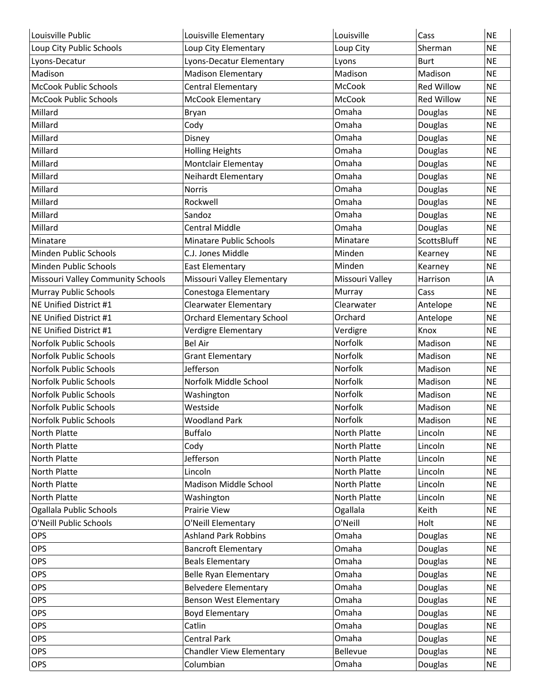| Louisville Public                 | Louisville Elementary            | Louisville          | Cass               | <b>NE</b> |
|-----------------------------------|----------------------------------|---------------------|--------------------|-----------|
| Loup City Public Schools          | Loup City Elementary             | Loup City           | Sherman            | <b>NE</b> |
| Lyons-Decatur                     | Lyons-Decatur Elementary         | Lyons               | <b>Burt</b>        | <b>NE</b> |
| Madison                           | <b>Madison Elementary</b>        | Madison             | Madison            | <b>NE</b> |
| <b>McCook Public Schools</b>      | Central Elementary               | <b>McCook</b>       | <b>Red Willow</b>  | <b>NE</b> |
| <b>McCook Public Schools</b>      | <b>McCook Elementary</b>         | <b>McCook</b>       | Red Willow         | <b>NE</b> |
| Millard                           | Bryan                            | Omaha               | Douglas            | <b>NE</b> |
| Millard                           | Cody                             | Omaha               | Douglas            | <b>NE</b> |
| Millard                           | Disney                           | Omaha               | Douglas            | <b>NE</b> |
| Millard                           | <b>Holling Heights</b>           | Omaha               | Douglas            | <b>NE</b> |
| Millard                           | Montclair Elementay              | Omaha               | Douglas            | <b>NE</b> |
| Millard                           | <b>Neihardt Elementary</b>       | Omaha               | Douglas            | <b>NE</b> |
| Millard                           | <b>Norris</b>                    | Omaha               | Douglas            | <b>NE</b> |
| Millard                           | Rockwell                         | Omaha               | Douglas            | <b>NE</b> |
| Millard                           | Sandoz                           | Omaha               | Douglas            | <b>NE</b> |
| Millard                           | <b>Central Middle</b>            | Omaha               | <b>Douglas</b>     | <b>NE</b> |
| Minatare                          | <b>Minatare Public Schools</b>   | Minatare            | <b>ScottsBluff</b> | <b>NE</b> |
| Minden Public Schools             | C.J. Jones Middle                | Minden              | Kearney            | <b>NE</b> |
| Minden Public Schools             | East Elementary                  | Minden              | Kearney            | <b>NE</b> |
| Missouri Valley Community Schools | Missouri Valley Elementary       | Missouri Valley     | Harrison           | IA        |
| <b>Murray Public Schools</b>      | Conestoga Elementary             | Murray              | Cass               | <b>NE</b> |
| NE Unified District #1            | <b>Clearwater Elementary</b>     | Clearwater          | Antelope           | <b>NE</b> |
| NE Unified District #1            | <b>Orchard Elementary School</b> | Orchard             | Antelope           | <b>NE</b> |
| NE Unified District #1            | Verdigre Elementary              | Verdigre            | Knox               | <b>NE</b> |
| Norfolk Public Schools            | <b>Bel Air</b>                   | Norfolk             | Madison            | <b>NE</b> |
| <b>Norfolk Public Schools</b>     | <b>Grant Elementary</b>          | Norfolk             | Madison            | <b>NE</b> |
| <b>Norfolk Public Schools</b>     | Jefferson                        | Norfolk             | Madison            | <b>NE</b> |
| Norfolk Public Schools            | Norfolk Middle School            | Norfolk             | Madison            | <b>NE</b> |
| <b>Norfolk Public Schools</b>     | Washington                       | Norfolk             | Madison            | <b>NE</b> |
| <b>Norfolk Public Schools</b>     | Westside                         | Norfolk             | Madison            | <b>NE</b> |
| Norfolk Public Schools            | <b>Woodland Park</b>             | Norfolk             | Madison            | <b>NE</b> |
| North Platte                      | <b>Buffalo</b>                   | North Platte        | Lincoln            | <b>NE</b> |
| North Platte                      | Cody                             | North Platte        | Lincoln            | <b>NE</b> |
| North Platte                      | Jefferson                        | North Platte        | Lincoln            | <b>NE</b> |
| North Platte                      | Lincoln                          | <b>North Platte</b> | Lincoln            | <b>NE</b> |
| North Platte                      | <b>Madison Middle School</b>     | North Platte        | Lincoln            | <b>NE</b> |
| North Platte                      | Washington                       | North Platte        | Lincoln            | <b>NE</b> |
| Ogallala Public Schools           | Prairie View                     | Ogallala            | Keith              | <b>NE</b> |
| O'Neill Public Schools            | O'Neill Elementary               | O'Neill             | Holt               | <b>NE</b> |
| OPS                               | <b>Ashland Park Robbins</b>      | Omaha               | Douglas            | <b>NE</b> |
| OPS                               | <b>Bancroft Elementary</b>       | Omaha               | Douglas            | <b>NE</b> |
| OPS                               | <b>Beals Elementary</b>          | Omaha               | Douglas            | <b>NE</b> |
| OPS                               |                                  | Omaha               | Douglas            | <b>NE</b> |
| <b>OPS</b>                        | <b>Belle Ryan Elementary</b>     | Omaha               |                    | <b>NE</b> |
|                                   | <b>Belvedere Elementary</b>      | Omaha               | Douglas            | <b>NE</b> |
| OPS                               | <b>Benson West Elementary</b>    |                     | Douglas            |           |
| <b>OPS</b>                        | <b>Boyd Elementary</b>           | Omaha               | Douglas            | <b>NE</b> |
| <b>OPS</b>                        | Catlin                           | Omaha               | Douglas            | <b>NE</b> |
| OPS                               | Central Park                     | Omaha               | Douglas            | <b>NE</b> |
| <b>OPS</b>                        | <b>Chandler View Elementary</b>  | Bellevue            | Douglas            | <b>NE</b> |
| OPS                               | Columbian                        | Omaha               | Douglas            | $N\!\!E$  |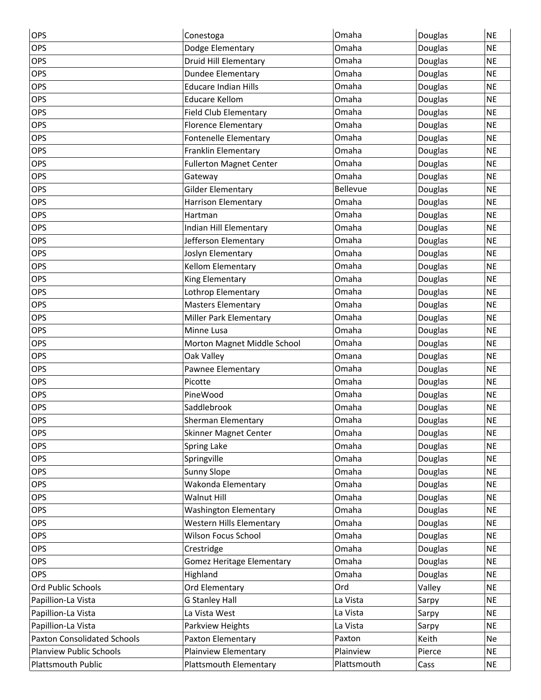| OPS                                | Conestoga                        | Omaha       | Douglas        | <b>NE</b> |
|------------------------------------|----------------------------------|-------------|----------------|-----------|
| OPS                                | Dodge Elementary                 | Omaha       | <b>Douglas</b> | <b>NE</b> |
| OPS                                | <b>Druid Hill Elementary</b>     | Omaha       | Douglas        | <b>NE</b> |
| OPS                                | Dundee Elementary                | Omaha       | Douglas        | <b>NE</b> |
| OPS                                | <b>Educare Indian Hills</b>      | Omaha       | Douglas        | <b>NE</b> |
| OPS                                | <b>Educare Kellom</b>            | Omaha       | Douglas        | <b>NE</b> |
| OPS                                | <b>Field Club Elementary</b>     | Omaha       | Douglas        | <b>NE</b> |
| OPS                                | <b>Florence Elementary</b>       | Omaha       | Douglas        | <b>NE</b> |
| OPS                                | <b>Fontenelle Elementary</b>     | Omaha       | Douglas        | <b>NE</b> |
| OPS                                | Franklin Elementary              | Omaha       | Douglas        | <b>NE</b> |
| OPS                                | <b>Fullerton Magnet Center</b>   | Omaha       | Douglas        | <b>NE</b> |
| OPS                                | Gateway                          | Omaha       | Douglas        | <b>NE</b> |
| OPS                                | Gilder Elementary                | Bellevue    | Douglas        | <b>NE</b> |
| OPS                                | <b>Harrison Elementary</b>       | Omaha       | Douglas        | <b>NE</b> |
| OPS                                | Hartman                          | Omaha       | Douglas        | <b>NE</b> |
| OPS                                | Indian Hill Elementary           | Omaha       | Douglas        | <b>NE</b> |
| OPS                                | Jefferson Elementary             | Omaha       | Douglas        | <b>NE</b> |
| OPS                                | Joslyn Elementary                | Omaha       | Douglas        | <b>NE</b> |
| OPS                                | Kellom Elementary                | Omaha       | Douglas        | <b>NE</b> |
| OPS                                | King Elementary                  | Omaha       | Douglas        | <b>NE</b> |
| OPS                                | Lothrop Elementary               | Omaha       | Douglas        | <b>NE</b> |
| OPS                                | <b>Masters Elementary</b>        | Omaha       | Douglas        | <b>NE</b> |
| OPS                                | Miller Park Elementary           | Omaha       | Douglas        | <b>NE</b> |
| OPS                                | Minne Lusa                       | Omaha       | Douglas        | <b>NE</b> |
| OPS                                | Morton Magnet Middle School      | Omaha       | Douglas        | <b>NE</b> |
| OPS                                | Oak Valley                       | Omana       | Douglas        | <b>NE</b> |
| OPS                                | Pawnee Elementary                | Omaha       | Douglas        | <b>NE</b> |
| OPS                                | Picotte                          | Omaha       | Douglas        | <b>NE</b> |
| OPS                                | PineWood                         | Omaha       | Douglas        | <b>NE</b> |
| OPS                                | Saddlebrook                      | Omaha       | Douglas        | <b>NE</b> |
| OPS                                | Sherman Elementary               | Omaha       | Douglas        | <b>NE</b> |
| OPS                                | <b>Skinner Magnet Center</b>     | Omaha       | Douglas        | <b>NE</b> |
| OPS                                | Spring Lake                      | Omaha       | Douglas        | <b>NE</b> |
| OPS                                | Springville                      | Omaha       | Douglas        | <b>NE</b> |
| OPS                                | <b>Sunny Slope</b>               | Omaha       | Douglas        | <b>NE</b> |
| OPS                                | Wakonda Elementary               | Omaha       | Douglas        | <b>NE</b> |
| OPS                                | <b>Walnut Hill</b>               | Omaha       | Douglas        | <b>NE</b> |
| OPS                                | <b>Washington Elementary</b>     | Omaha       | Douglas        | <b>NE</b> |
| OPS                                | <b>Western Hills Elementary</b>  | Omaha       | Douglas        | <b>NE</b> |
| OPS                                | <b>Wilson Focus School</b>       | Omaha       | Douglas        | <b>NE</b> |
| OPS                                | Crestridge                       | Omaha       | Douglas        | <b>NE</b> |
| OPS                                | <b>Gomez Heritage Elementary</b> | Omaha       | Douglas        | <b>NE</b> |
| OPS                                | Highland                         | Omaha       | Douglas        | <b>NE</b> |
| <b>Ord Public Schools</b>          | Ord Elementary                   | Ord         | Valley         | <b>NE</b> |
| Papillion-La Vista                 | <b>G Stanley Hall</b>            | La Vista    | Sarpy          | <b>NE</b> |
| Papillion-La Vista                 | La Vista West                    | La Vista    | Sarpy          | <b>NE</b> |
| Papillion-La Vista                 | Parkview Heights                 | La Vista    | Sarpy          | <b>NE</b> |
| <b>Paxton Consolidated Schools</b> | Paxton Elementary                | Paxton      | Keith          | Ne        |
| <b>Planview Public Schools</b>     | Plainview Elementary             | Plainview   | Pierce         | <b>NE</b> |
| Plattsmouth Public                 | Plattsmouth Elementary           | Plattsmouth | Cass           | <b>NE</b> |
|                                    |                                  |             |                |           |